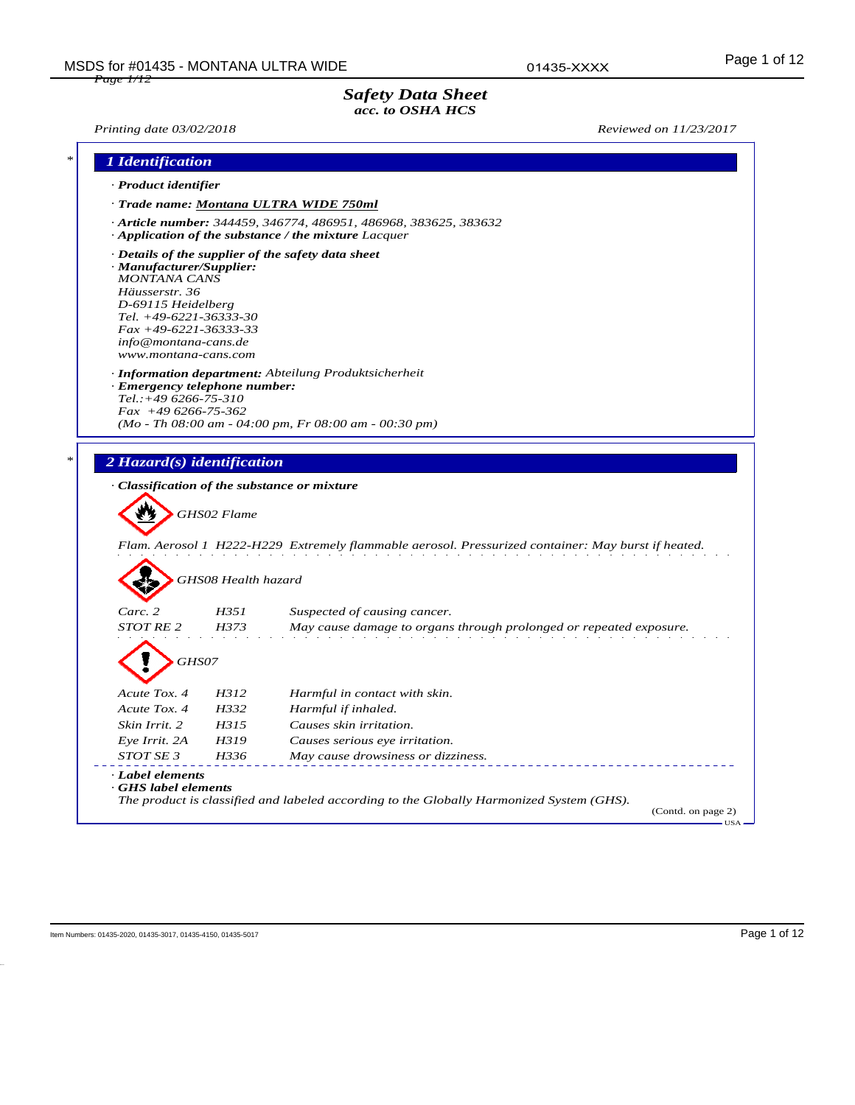01435-XXXX

## *Safety Data Sheet acc. to OSHA HCS*

*Printing date 03/02/2018 Reviewed on 11/23/2017*

| · Product identifier                                                                                                                                                                                                                                                              |                     |                                                                                                                                      |
|-----------------------------------------------------------------------------------------------------------------------------------------------------------------------------------------------------------------------------------------------------------------------------------|---------------------|--------------------------------------------------------------------------------------------------------------------------------------|
|                                                                                                                                                                                                                                                                                   |                     |                                                                                                                                      |
|                                                                                                                                                                                                                                                                                   |                     | · Trade name: Montana ULTRA WIDE 750ml                                                                                               |
|                                                                                                                                                                                                                                                                                   |                     | $\cdot$ Article number: 344459, 346774, 486951, 486968, 383625, 383632<br>$\cdot$ Application of the substance / the mixture Lacquer |
| · Manufacturer/Supplier:<br><b>MONTANA CANS</b><br>Häusserstr. 36<br>D-69115 Heidelberg<br>Tel. $+49-6221-36333-30$<br>$Fax + 49-6221-36333-33$<br>info@montana-cans.de<br>www.montana-cans.com<br>· Emergency telephone number:<br>$Tel.:+496266-75-310$<br>$Fax +496266-75-362$ |                     | $\cdot$ Details of the supplier of the safety data sheet<br>· Information department: Abteilung Produktsicherheit                    |
|                                                                                                                                                                                                                                                                                   |                     | $(Mo - Th\ 08:00\ am - 04:00\ pm, Fr\ 08:00\ am - 00:30\ pm)$                                                                        |
| 2 Hazard(s) identification<br>· Classification of the substance or mixture                                                                                                                                                                                                        |                     |                                                                                                                                      |
|                                                                                                                                                                                                                                                                                   | GHS02 Flame         | Flam. Aerosol 1 H222-H229 Extremely flammable aerosol. Pressurized container: May burst if heated.                                   |
|                                                                                                                                                                                                                                                                                   | GHS08 Health hazard |                                                                                                                                      |
| Carc. 2                                                                                                                                                                                                                                                                           | H351                | Suspected of causing cancer.                                                                                                         |
| <b>STOT RE 2</b>                                                                                                                                                                                                                                                                  | H373                | May cause damage to organs through prolonged or repeated exposure.                                                                   |
| GHS07                                                                                                                                                                                                                                                                             |                     |                                                                                                                                      |
| Acute Tox. 4                                                                                                                                                                                                                                                                      | H312                | Harmful in contact with skin.                                                                                                        |
| Acute Tox. 4                                                                                                                                                                                                                                                                      | H332                | Harmful if inhaled.                                                                                                                  |
| Skin Irrit. 2                                                                                                                                                                                                                                                                     | H315                | Causes skin irritation.                                                                                                              |
| Eye Irrit. 2A                                                                                                                                                                                                                                                                     | H319                | Causes serious eye irritation.                                                                                                       |
| STOT SE 3                                                                                                                                                                                                                                                                         | H336                | May cause drowsiness or dizziness.                                                                                                   |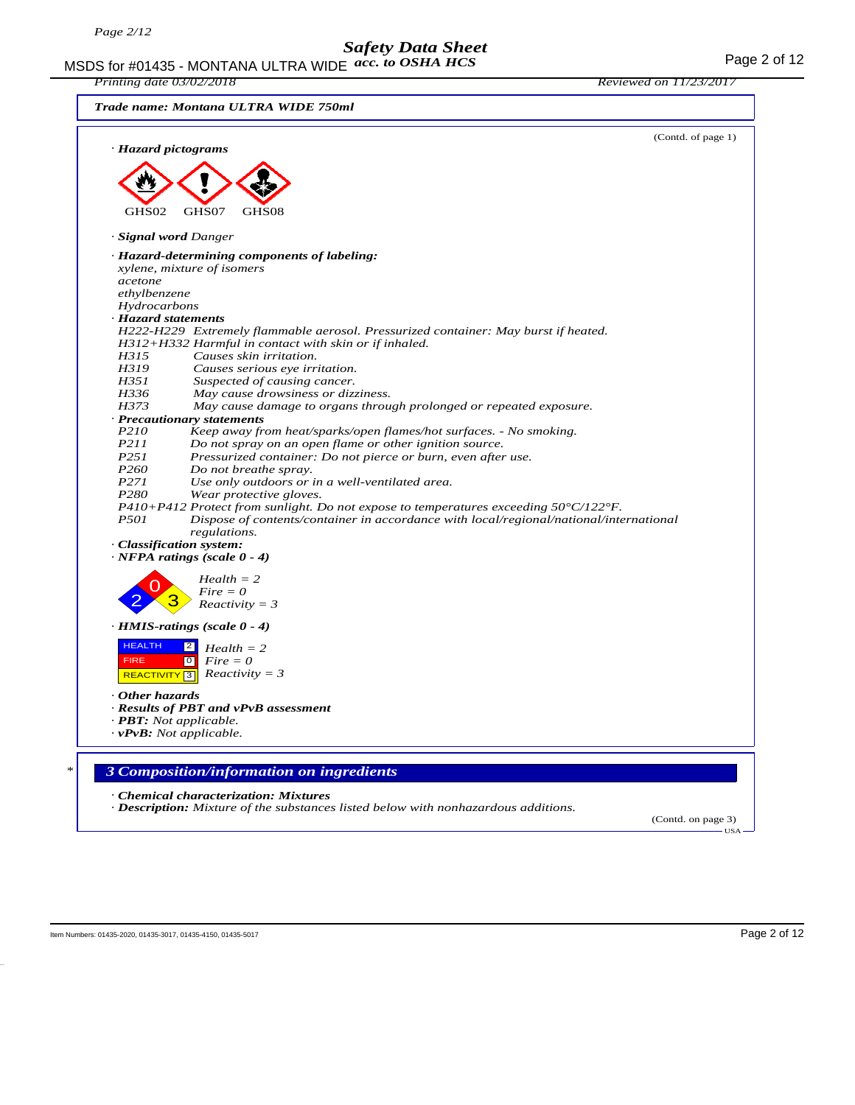MSDS for #01435 - MONTANA ULTRA WIDE  $acc. to OSHA HCS$ *acc. to OSHA HCS*

|                     | Printing date 03/02/2018                                                                                                 | <i>Reviewed on 11/23/2017</i> |
|---------------------|--------------------------------------------------------------------------------------------------------------------------|-------------------------------|
|                     | Trade name: Montana ULTRA WIDE 750ml                                                                                     |                               |
|                     | · Hazard pictograms                                                                                                      | (Contd. of page 1)            |
|                     |                                                                                                                          |                               |
|                     |                                                                                                                          |                               |
|                     |                                                                                                                          |                               |
|                     |                                                                                                                          |                               |
| GHS02               | GHS07<br>GHS08                                                                                                           |                               |
|                     | · Signal word Danger                                                                                                     |                               |
|                     | · Hazard-determining components of labeling:                                                                             |                               |
|                     | xylene, mixture of isomers                                                                                               |                               |
| acetone             |                                                                                                                          |                               |
| ethylbenzene        |                                                                                                                          |                               |
| Hydrocarbons        |                                                                                                                          |                               |
| · Hazard statements |                                                                                                                          |                               |
|                     | H222-H229 Extremely flammable aerosol. Pressurized container: May burst if heated.                                       |                               |
|                     | $H312+H332$ Harmful in contact with skin or if inhaled.                                                                  |                               |
| H315                | Causes skin irritation.                                                                                                  |                               |
| H319                | Causes serious eye irritation.                                                                                           |                               |
| H351                | Suspected of causing cancer.                                                                                             |                               |
| H336                | May cause drowsiness or dizziness.                                                                                       |                               |
| H373                | May cause damage to organs through prolonged or repeated exposure.                                                       |                               |
|                     | · Precautionary statements                                                                                               |                               |
| P210<br>P211        | Keep away from heat/sparks/open flames/hot surfaces. - No smoking.                                                       |                               |
| P251                | Do not spray on an open flame or other ignition source.<br>Pressurized container: Do not pierce or burn, even after use. |                               |
| P <sub>260</sub>    | Do not breathe spray.                                                                                                    |                               |
| P271                | Use only outdoors or in a well-ventilated area.                                                                          |                               |
| P <sub>280</sub>    | Wear protective gloves.                                                                                                  |                               |
|                     | $P410+P412$ Protect from sunlight. Do not expose to temperatures exceeding $50^{\circ}C/122^{\circ}F$ .                  |                               |
| <i>P501</i>         | Dispose of contents/container in accordance with local/regional/national/international                                   |                               |
|                     | regulations.                                                                                                             |                               |
|                     | · Classification system:                                                                                                 |                               |
|                     | $\cdot$ NFPA ratings (scale 0 - 4)                                                                                       |                               |
|                     | $Health = 2$                                                                                                             |                               |
|                     | $Fire = 0$                                                                                                               |                               |
|                     | $Reactivity = 3$                                                                                                         |                               |
|                     | $\cdot$ HMIS-ratings (scale 0 - 4)                                                                                       |                               |
| <b>HEALTH</b>       | 2 <br>$Health = 2$                                                                                                       |                               |
| <b>FIRE</b>         | $\boxed{\circ}$<br>$Fire = 0$                                                                                            |                               |
|                     | REACTIVITY 3 Reactivity = 3                                                                                              |                               |
| Other hazards       |                                                                                                                          |                               |
|                     | · Results of PBT and vPvB assessment                                                                                     |                               |
|                     | $\cdot$ <b>PBT</b> : Not applicable.                                                                                     |                               |
|                     | $\cdot v$ PvB: Not applicable.                                                                                           |                               |
|                     |                                                                                                                          |                               |
|                     | 3 Composition/information on ingredients                                                                                 |                               |
|                     | · Chemical characterization: Mixtures                                                                                    |                               |

*· Description: Mixture of the substances listed below with nonhazardous additions.*

(Contd. on page 3)

- USA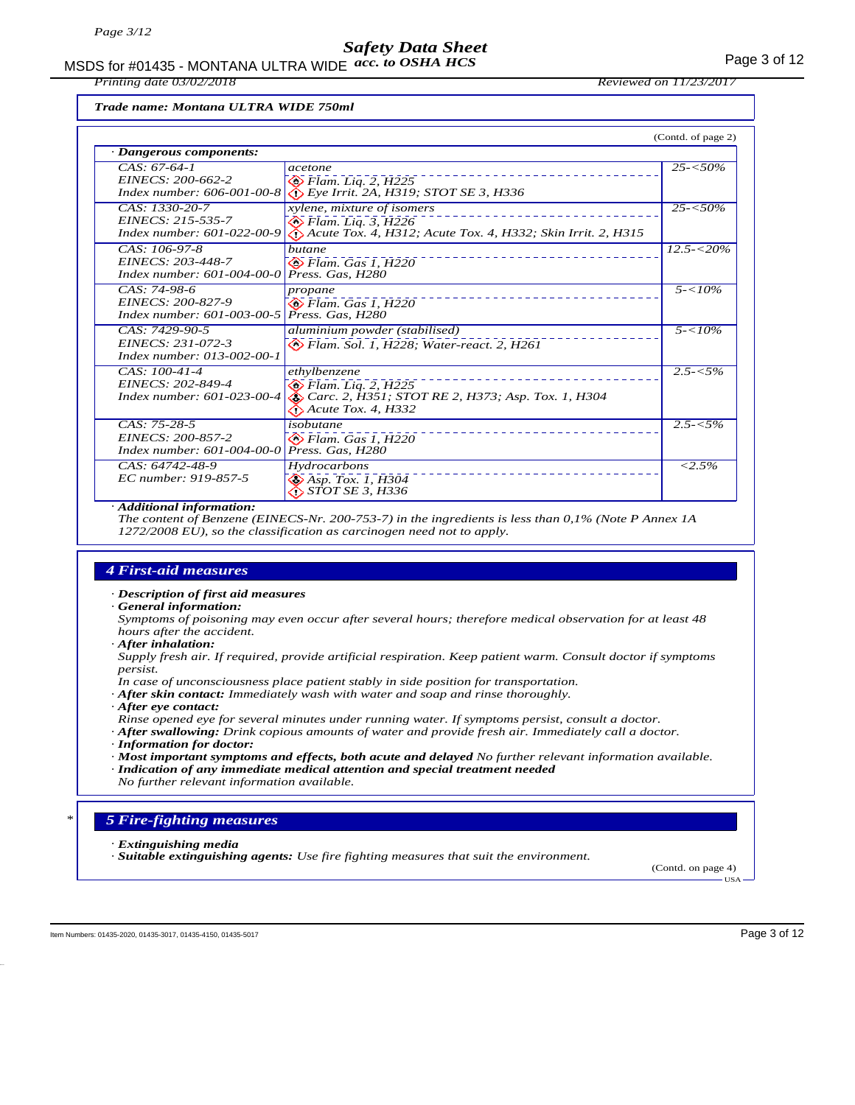MSDS for #01435 - MONTANA ULTRA WIDE  $acc. to OSHA HCS$ 

*Printing date 03/02/2018 Reviewed on 11/23/2017*

*Trade name: Montana ULTRA WIDE 750ml*

| (Contd. of page 2)                                                         |                                                                                                                                      |                         |  |  |
|----------------------------------------------------------------------------|--------------------------------------------------------------------------------------------------------------------------------------|-------------------------|--|--|
| · Dangerous components:                                                    |                                                                                                                                      |                         |  |  |
| $CAS: 67-64-1$<br>EINECS: 200-662-2<br>Index number: $606 - 001 - 00 - 8$  | acetone<br>$\otimes$ Flam. Liq. 2, H225<br>$\langle \cdot \rangle$ Eye Irrit. 2A, H319; STOT SE 3, H336                              | $25 - 50\%$             |  |  |
| CAS: 1330-20-7<br>EINECS: 215-535-7<br><i>Index number: 601-022-00-9</i>   | xylene, mixture of isomers<br>$\otimes$ Flam. Liq. 3, H226<br>Acute Tox. 4, H312; Acute Tox. 4, H332; Skin Irrit. 2, H315            | $25 - 50\%$             |  |  |
| CAS: 106-97-8<br>EINECS: 203-448-7<br>Index number: $601 - 004 - 00 - 0$   | butane<br>$\otimes$ Flam. Gas 1, H220<br>Press. Gas, H280                                                                            | $\overline{12.5}$ -<20% |  |  |
| $CAS: 74-98-6$<br>EINECS: 200-827-9<br>Index number: $601 - 003 - 00 - 5$  | propane<br>$\bigotimes$ Flam. Gas 1, H220<br>Press. Gas, H280                                                                        | $5 - 10\%$              |  |  |
| CAS: 7429-90-5<br>EINECS: 231-072-3<br>Index number: 013-002-00-1          | aluminium powder (stabilised)<br>B Flam. Sol. 1, H228; Water-react. 2, H261                                                          | $5 - 10\%$              |  |  |
| $CAS: 100-41-4$<br>EINECS: 202-849-4<br>Index number: $601 - 023 - 00 - 4$ | ethylbenzene<br>$\otimes$ Flam. Liq. 2, H225<br>Carc. 2, H351; STOT RE 2, H373; Asp. Tox. 1, H304<br>$\bigotimes$ Acute Tox. 4, H332 | $2.5 - 5\%$             |  |  |
| $CAS: 75-28-5$<br>EINECS: 200-857-2<br>Index number: $601 - 004 - 00 - 0$  | isobutane<br>$\Leftrightarrow$ Flam. Gas 1, H220<br>Press. Gas, H280                                                                 | $2.5 - 5\%$             |  |  |
| CAS: 64742-48-9<br>EC number: 919-857-5                                    | Hydrocarbons<br>$\diamond$ Asp. Tox. 1, H304<br><b>◇ STOT SE 3, H336</b>                                                             | $< 2.5\%$               |  |  |

#### *· Additional information:*

*The content of Benzene (EINECS-Nr. 200-753-7) in the ingredients is less than 0,1% (Note P Annex 1A 1272/2008 EU), so the classification as carcinogen need not to apply.*

### *4 First-aid measures*

*· Description of first aid measures*

*· General information:*

*Symptoms of poisoning may even occur after several hours; therefore medical observation for at least 48 hours after the accident.*

*· After inhalation:*

*Supply fresh air. If required, provide artificial respiration. Keep patient warm. Consult doctor if symptoms persist.*

- *In case of unconsciousness place patient stably in side position for transportation.*
- *· After skin contact: Immediately wash with water and soap and rinse thoroughly.*
- *· After eye contact:*

*Rinse opened eye for several minutes under running water. If symptoms persist, consult a doctor.*

- *· After swallowing: Drink copious amounts of water and provide fresh air. Immediately call a doctor.*
- *· Information for doctor:*
- *· Most important symptoms and effects, both acute and delayed No further relevant information available. · Indication of any immediate medical attention and special treatment needed*
- *No further relevant information available.*

## *\* 5 Fire-fighting measures*

- *· Extinguishing media*
- *· Suitable extinguishing agents: Use fire fighting measures that suit the environment.*

(Contd. on page 4)

USA

Item Numbers: 01435-2020, 01435-3017, 01435-4150, 01435-5017 Page 3 of 12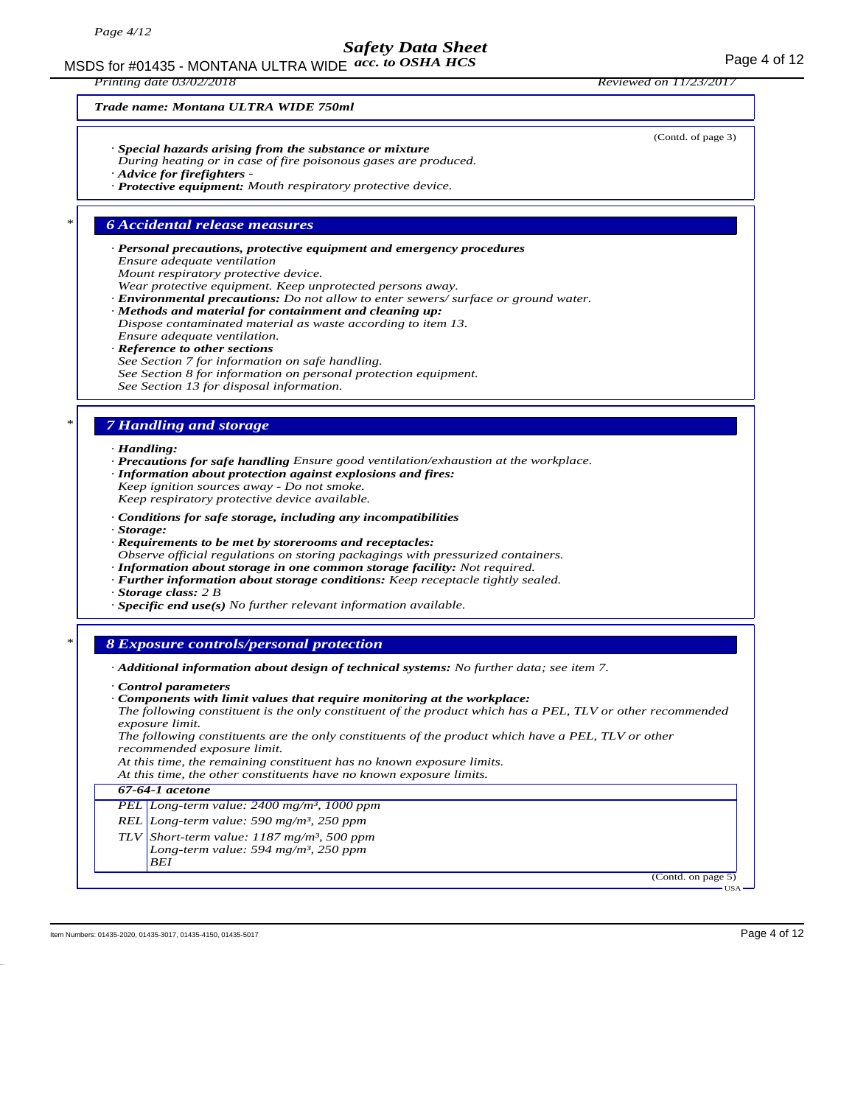MSDS for #01435 - MONTANA ULTRA WIDE  $acc. to OSHA HCS$ 

*Printing date 03/02/2018 Reviewed on 11/23/2017*

(Contd. of page 3)

#### *Trade name: Montana ULTRA WIDE 750ml*

- *· Special hazards arising from the substance or mixture*
- *During heating or in case of fire poisonous gases are produced.*
- *· Advice for firefighters*
- *· Protective equipment: Mouth respiratory protective device.*

#### *\* 6 Accidental release measures*

- *· Personal precautions, protective equipment and emergency procedures Ensure adequate ventilation Mount respiratory protective device.*
- *Wear protective equipment. Keep unprotected persons away.*
- *· Environmental precautions: Do not allow to enter sewers/ surface or ground water.*
- *· Methods and material for containment and cleaning up:*
- *Dispose contaminated material as waste according to item 13. Ensure adequate ventilation.*
- *· Reference to other sections*
- *See Section 7 for information on safe handling. See Section 8 for information on personal protection equipment.*
- *See Section 13 for disposal information.*

#### *\* 7 Handling and storage*

*· Handling:*

- *· Precautions for safe handling Ensure good ventilation/exhaustion at the workplace.*
- *· Information about protection against explosions and fires:*
- *Keep ignition sources away Do not smoke. Keep respiratory protective device available.*
- *· Conditions for safe storage, including any incompatibilities*
- *· Storage:*
- *· Requirements to be met by storerooms and receptacles:*
- *Observe official regulations on storing packagings with pressurized containers.*
- *· Information about storage in one common storage facility: Not required.*
- *· Further information about storage conditions: Keep receptacle tightly sealed.*
- *· Storage class: 2 B*
- *· Specific end use(s) No further relevant information available.*

#### *\* 8 Exposure controls/personal protection*

- *· Additional information about design of technical systems: No further data; see item 7.*
- *· Control parameters*
- *· Components with limit values that require monitoring at the workplace:*
- *The following constituent is the only constituent of the product which has a PEL, TLV or other recommended exposure limit.*

*The following constituents are the only constituents of the product which have a PEL, TLV or other recommended exposure limit.*

*At this time, the remaining constituent has no known exposure limits.*

*At this time, the other constituents have no known exposure limits.*

#### *67-64-1 acetone*

- *PEL Long-term value: 2400 mg/m³, 1000 ppm*
- *REL Long-term value: 590 mg/m³, 250 ppm*
- *TLV Short-term value: 1187 mg/m³, 500 ppm*

*Long-term value: 594 mg/m³, 250 ppm BEI*

> (Contd. on page 5) USA

Item Numbers: 01435-2020, 01435-3017, 01435-4150, 01435-5017 Page 4 of 12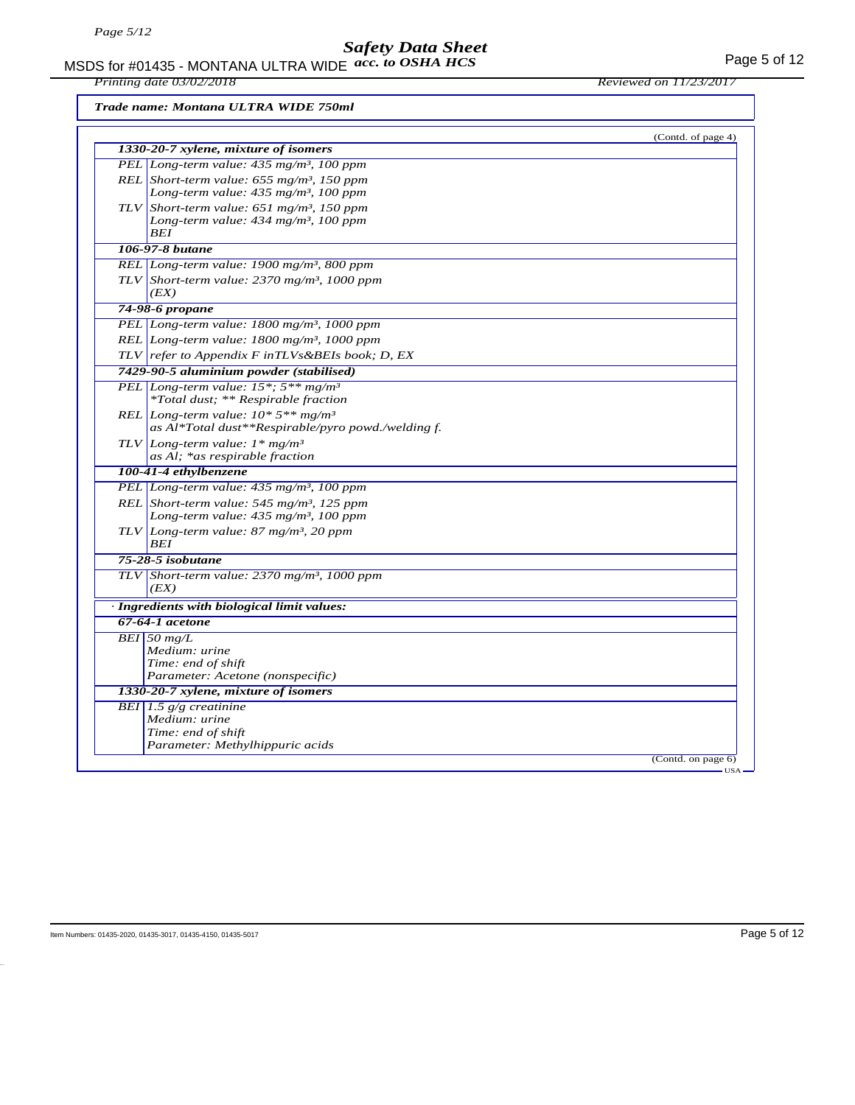MSDS for #01435 - MONTANA ULTRA WIDE  $acc. to OSHA HCS$ *acc. to OSHA HCS*

*Printing date 03/02/2018 Reviewed on 11/23/2017*

*Trade name: Montana ULTRA WIDE 750ml*

| 1330-20-7 xylene, mixture of isomers                               | (Contd. of page 4) |
|--------------------------------------------------------------------|--------------------|
| PEL Long-term value: $435$ mg/m <sup>3</sup> , 100 ppm             |                    |
| REL Short-term value: $655$ mg/m <sup>3</sup> , 150 ppm            |                    |
| Long-term value: 435 mg/m <sup>3</sup> , 100 ppm                   |                    |
| TLV Short-term value: 651 mg/m <sup>3</sup> , 150 ppm              |                    |
| Long-term value: $434$ mg/m <sup>3</sup> , 100 ppm                 |                    |
| <b>BEI</b>                                                         |                    |
| 106-97-8 butane                                                    |                    |
| REL Long-term value: 1900 mg/m <sup>3</sup> , 800 ppm              |                    |
| TLV Short-term value: $2370$ mg/m <sup>3</sup> , 1000 ppm<br>(EX)  |                    |
| 74-98-6 propane                                                    |                    |
| PEL Long-term value: 1800 mg/m <sup>3</sup> , 1000 ppm             |                    |
| REL Long-term value: 1800 mg/m <sup>3</sup> , 1000 ppm             |                    |
| TLV refer to Appendix F inTLVs&BEIs book; D, EX                    |                    |
| 7429-90-5 aluminium powder (stabilised)                            |                    |
| PEL Long-term value: $15^*$ ; $5^{**}$ mg/m <sup>3</sup>           |                    |
| *Total dust; ** Respirable fraction                                |                    |
| REL Long-term value: $10*5**mg/m^3$                                |                    |
| as Al*Total dust**Respirable/pyro powd./welding f.                 |                    |
| TLV Long-term value: $1 * mg/m3$<br>as Al; *as respirable fraction |                    |
| 100-41-4 ethylbenzene                                              |                    |
| PEL Long-term value: 435 mg/m <sup>3</sup> , 100 ppm               |                    |
| REL Short-term value: $545$ mg/m <sup>3</sup> , 125 ppm            |                    |
| Long-term value: $435 \text{ mg/m}^3$ , 100 ppm                    |                    |
| TLV Long-term value: 87 mg/m <sup>3</sup> , 20 ppm<br>BEI          |                    |
| $75 - 28 - 5$ isobutane                                            |                    |
| TLV Short-term value: $2370$ mg/m <sup>3</sup> , 1000 ppm<br>(EX)  |                    |
| · Ingredients with biological limit values:                        |                    |
| 67-64-1 acetone                                                    |                    |
| $BEI$ 50 mg/L                                                      |                    |
| Medium: urine                                                      |                    |
| Time: end of shift<br>Parameter: Acetone (nonspecific)             |                    |
| 1330-20-7 xylene, mixture of isomers                               |                    |
| BEI 1.5 $g/g$ creatinine                                           |                    |
| Medium: urine                                                      |                    |
| Time: end of shift                                                 |                    |
| Parameter: Methylhippuric acids                                    |                    |
|                                                                    | (Contd. on page 6) |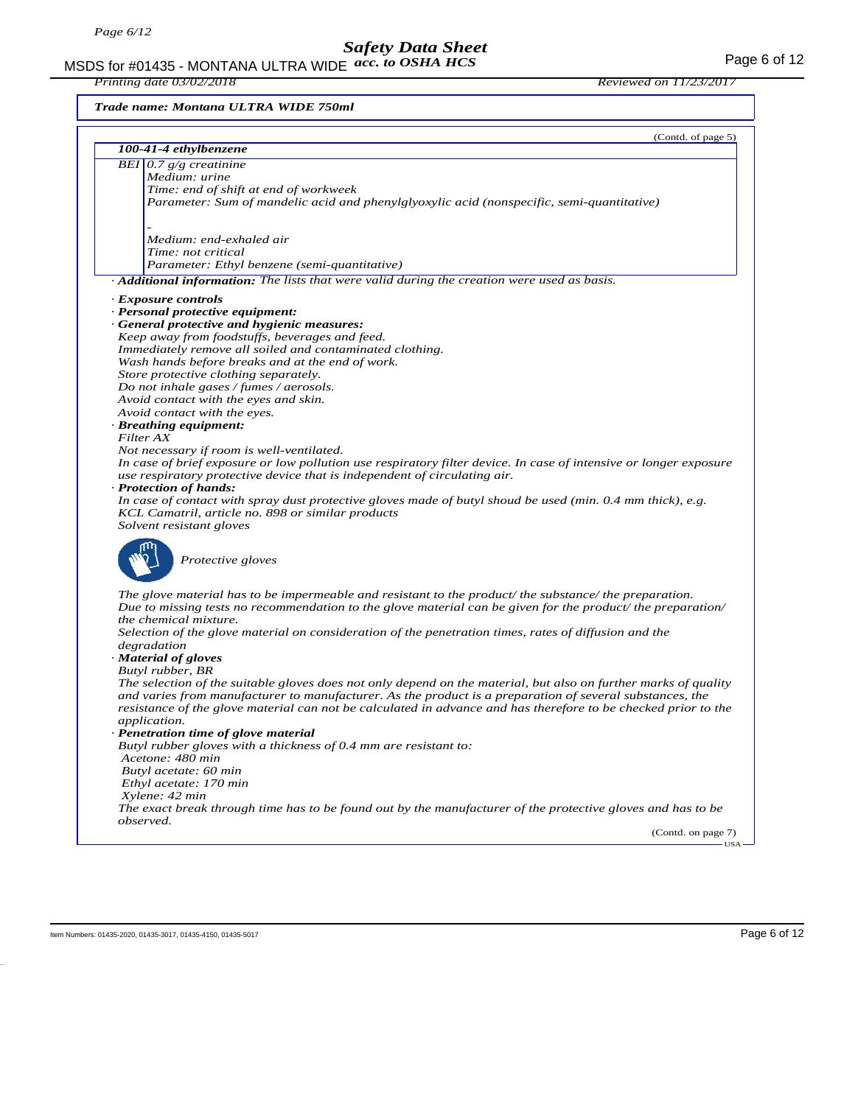MSDS for #01435 - MONTANA ULTRA WIDE  $acc. to OSHA HCS$ *acc. to OSHA HCS*

*Trade name: Montana ULTRA WIDE 750ml*

|                                                                                                                                                                                                                             | (Contd. of page 5) |
|-----------------------------------------------------------------------------------------------------------------------------------------------------------------------------------------------------------------------------|--------------------|
| 100-41-4 ethylbenzene                                                                                                                                                                                                       |                    |
| BEI $0.7$ g/g creatinine                                                                                                                                                                                                    |                    |
| Medium: urine                                                                                                                                                                                                               |                    |
| Time: end of shift at end of workweek                                                                                                                                                                                       |                    |
| Parameter: Sum of mandelic acid and phenylglyoxylic acid (nonspecific, semi-quantitative)                                                                                                                                   |                    |
|                                                                                                                                                                                                                             |                    |
| Medium: end-exhaled air                                                                                                                                                                                                     |                    |
| Time: not critical                                                                                                                                                                                                          |                    |
| Parameter: Ethyl benzene (semi-quantitative)                                                                                                                                                                                |                    |
| Additional information: The lists that were valid during the creation were used as basis.                                                                                                                                   |                    |
| · Exposure controls                                                                                                                                                                                                         |                    |
| · Personal protective equipment:                                                                                                                                                                                            |                    |
| · General protective and hygienic measures:                                                                                                                                                                                 |                    |
| Keep away from foodstuffs, beverages and feed.                                                                                                                                                                              |                    |
| Immediately remove all soiled and contaminated clothing.                                                                                                                                                                    |                    |
| Wash hands before breaks and at the end of work.                                                                                                                                                                            |                    |
| Store protective clothing separately.                                                                                                                                                                                       |                    |
| Do not inhale gases / fumes / aerosols.                                                                                                                                                                                     |                    |
| Avoid contact with the eyes and skin.                                                                                                                                                                                       |                    |
| Avoid contact with the eyes.<br>· Breathing equipment:                                                                                                                                                                      |                    |
| Filter AX                                                                                                                                                                                                                   |                    |
| Not necessary if room is well-ventilated.                                                                                                                                                                                   |                    |
| In case of brief exposure or low pollution use respiratory filter device. In case of intensive or longer exposure                                                                                                           |                    |
| use respiratory protective device that is independent of circulating air.                                                                                                                                                   |                    |
| · Protection of hands:                                                                                                                                                                                                      |                    |
| In case of contact with spray dust protective gloves made of butyl shoud be used (min. $0.4$ mm thick), e.g.                                                                                                                |                    |
| KCL Camatril, article no. 898 or similar products                                                                                                                                                                           |                    |
| Solvent resistant gloves                                                                                                                                                                                                    |                    |
|                                                                                                                                                                                                                             |                    |
| Protective gloves                                                                                                                                                                                                           |                    |
|                                                                                                                                                                                                                             |                    |
| The glove material has to be impermeable and resistant to the product/the substance/the preparation.                                                                                                                        |                    |
| Due to missing tests no recommendation to the glove material can be given for the product/ the preparation/                                                                                                                 |                    |
| the chemical mixture.                                                                                                                                                                                                       |                    |
| Selection of the glove material on consideration of the penetration times, rates of diffusion and the                                                                                                                       |                    |
| degradation                                                                                                                                                                                                                 |                    |
| · Material of gloves                                                                                                                                                                                                        |                    |
| Butyl rubber, BR                                                                                                                                                                                                            |                    |
| The selection of the suitable gloves does not only depend on the material, but also on further marks of quality<br>and varies from manufacturer to manufacturer. As the product is a preparation of several substances, the |                    |
| resistance of the glove material can not be calculated in advance and has therefore to be checked prior to the                                                                                                              |                    |
| <i>application.</i>                                                                                                                                                                                                         |                    |
| Penetration time of glove material                                                                                                                                                                                          |                    |
| Butyl rubber gloves with a thickness of 0.4 mm are resistant to:                                                                                                                                                            |                    |
| Acetone: 480 min                                                                                                                                                                                                            |                    |
| Butyl acetate: 60 min                                                                                                                                                                                                       |                    |
| Ethyl acetate: 170 min                                                                                                                                                                                                      |                    |
| Xylene: 42 min                                                                                                                                                                                                              |                    |
| The exact break through time has to be found out by the manufacturer of the protective gloves and has to be                                                                                                                 |                    |
| observed.                                                                                                                                                                                                                   | (Contd. on page 7) |
|                                                                                                                                                                                                                             | <b>TISA</b>        |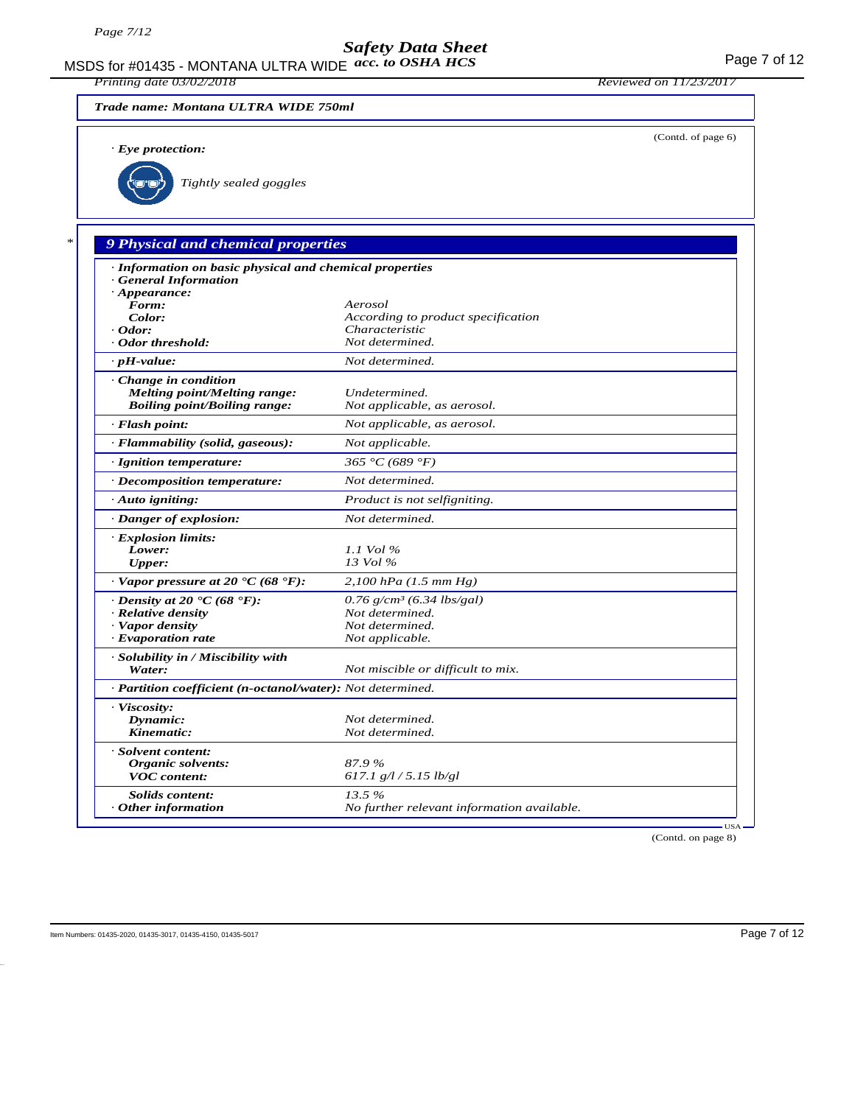MSDS for #01435 - MONTANA ULTRA WIDE acc. to OSHA HCS **And CONTA CONTA CONTROL** Page 7 of 12 *Printing date 03/02/2018 Reviewed on 11/23/2017 Trade name: Montana ULTRA WIDE 750ml* (Contd. of page 6) *· Eye protection: Tightly sealed goggles \* 9 Physical and chemical properties · Information on basic physical and chemical properties · General Information · Appearance:*<br>*Form: Form: Aerosol Color: According to product specification <i>· Odor: Characteristic · <i>Odor threshold: Not determined. · Odor threshold: Not determined. · pH-value: Not determined. · Change in condition Melting point/Melting range: Undetermined.*  $B oiling point/B oiling range:$ *· Flash point: Not applicable, as aerosol. · Flammability (solid, gaseous): Not applicable. · Ignition temperature: 365 °C (689 °F) · Decomposition temperature: Not determined. · Auto igniting: Product is not selfigniting. · Danger of explosion: Not determined. · Explosion limits: Lower: 1.1 Vol % Upper: 13 Vol % · Vapor pressure at 20 °C (68 °F): 2,100 hPa (1.5 mm Hg) · Density at 20* **°C (68 °F):** 0.76 g/cm<sup>3</sup> (6.34 lbs/gal)<br>*Relative density Mot determined. <i>Relative density Vapor density Not determined.*<br>*Proporation rate Not applicable. <i>·* Evaporation rate *· Solubility in / Miscibility with Water: Not miscible or difficult to mix. · Partition coefficient (n-octanol/water): Not determined. · Viscosity: Dynamic: Not determined.*  $Not$  *determined. · Solvent content: Organic solvents: 87.9 % VOC content: 617.1 g/l / 5.15 lb/gl Solids content: 13.5 % Other information No further relevant information available.* 

(Contd. on page 8)

USA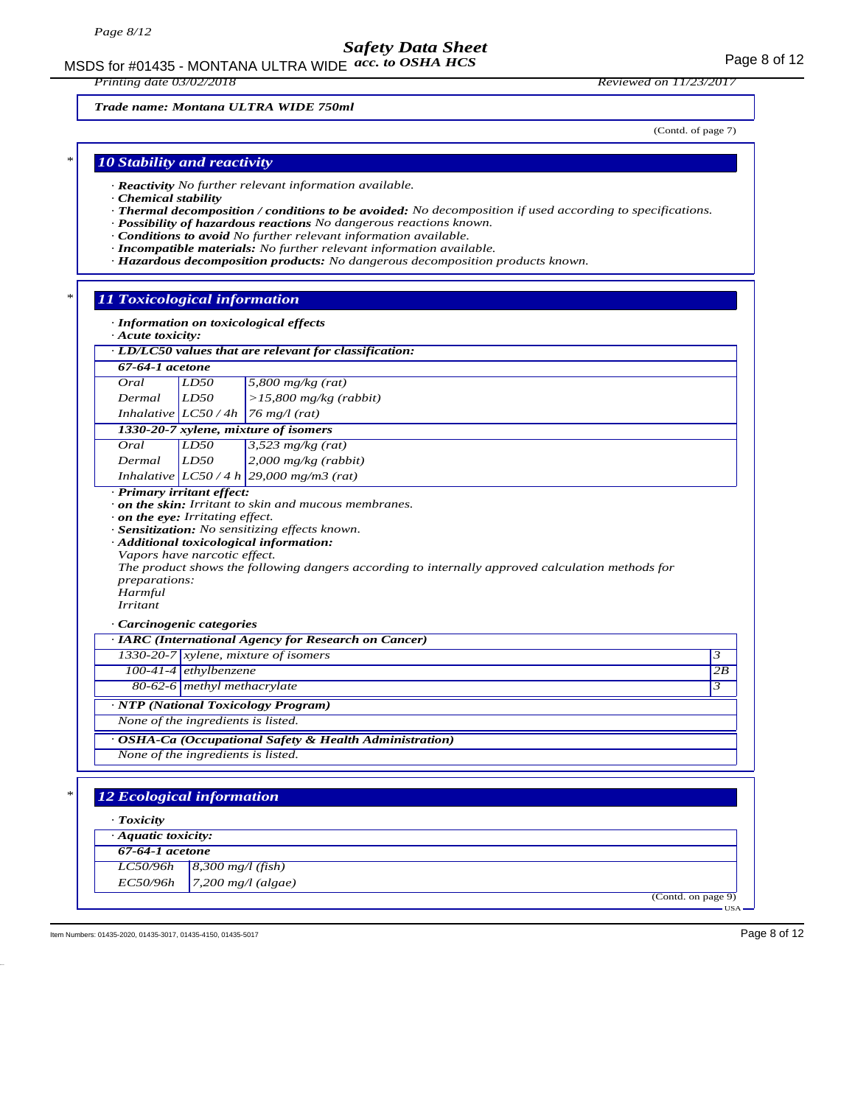MSDS for #01435 - MONTANA ULTRA WIDE  $acc. to OSHA HCS$ 

*Printing date 03/02/2018 Reviewed on 11/23/2017*

*Trade name: Montana ULTRA WIDE 750ml*

(Contd. of page 7)

## *\* 10 Stability and reactivity*

- *· Reactivity No further relevant information available.*
- *· Chemical stability*
- *· Thermal decomposition / conditions to be avoided: No decomposition if used according to specifications.*
- *· Possibility of hazardous reactions No dangerous reactions known.*
- *· Conditions to avoid No further relevant information available.*
- *· Incompatible materials: No further relevant information available.*
- *· Hazardous decomposition products: No dangerous decomposition products known.*

### *\* 11 Toxicological information*

|  |  |  | · Information on toxicological effects |
|--|--|--|----------------------------------------|
|--|--|--|----------------------------------------|

*· Acute toxicity:*

| 67-64-1 acetone                                                           |                                                                                                                                                               |                                                                                                                                                                                                                                                                                                                                                          |                                        |
|---------------------------------------------------------------------------|---------------------------------------------------------------------------------------------------------------------------------------------------------------|----------------------------------------------------------------------------------------------------------------------------------------------------------------------------------------------------------------------------------------------------------------------------------------------------------------------------------------------------------|----------------------------------------|
| Oral                                                                      | LD50                                                                                                                                                          | 5,800 mg/kg $(rat)$                                                                                                                                                                                                                                                                                                                                      |                                        |
| Dermal                                                                    | LD50                                                                                                                                                          | $>15,800$ mg/kg (rabbit)                                                                                                                                                                                                                                                                                                                                 |                                        |
|                                                                           | Inhalative $LC50/4h$                                                                                                                                          | $76$ mg/l (rat)                                                                                                                                                                                                                                                                                                                                          |                                        |
|                                                                           |                                                                                                                                                               | 1330-20-7 xylene, mixture of isomers                                                                                                                                                                                                                                                                                                                     |                                        |
| Oral                                                                      | LD50                                                                                                                                                          | $3,523$ mg/kg (rat)                                                                                                                                                                                                                                                                                                                                      |                                        |
| Dermal                                                                    | LD50                                                                                                                                                          | $2,000$ mg/kg (rabbit)                                                                                                                                                                                                                                                                                                                                   |                                        |
|                                                                           |                                                                                                                                                               | Inhalative $ LCS0/4 h $ 29,000 mg/m3 (rat)                                                                                                                                                                                                                                                                                                               |                                        |
| · Primary irritant effect:<br>preparations:<br>Harmful<br><b>Irritant</b> | $\cdot$ on the eye: Irritating effect.<br>Vapors have narcotic effect.<br>· Carcinogenic categories<br>$100-41-4$ ethylbenzene<br>80-62-6 methyl methacrylate | . on the skin: Irritant to skin and mucous membranes.<br>· Sensitization: No sensitizing effects known.<br>· Additional toxicological information:<br>The product shows the following dangers according to internally approved calculation methods for<br>· IARC (International Agency for Research on Cancer)<br>$1330-20-7$ xylene, mixture of isomers | $\mathfrak{Z}$<br>2B<br>$\mathfrak{Z}$ |
|                                                                           |                                                                                                                                                               | · NTP (National Toxicology Program)                                                                                                                                                                                                                                                                                                                      |                                        |
|                                                                           | None of the ingredients is listed.                                                                                                                            |                                                                                                                                                                                                                                                                                                                                                          |                                        |
|                                                                           |                                                                                                                                                               | OSHA-Ca (Occupational Safety & Health Administration)                                                                                                                                                                                                                                                                                                    |                                        |
|                                                                           | None of the ingredients is listed.                                                                                                                            |                                                                                                                                                                                                                                                                                                                                                          |                                        |
| <b>12 Ecological information</b>                                          |                                                                                                                                                               |                                                                                                                                                                                                                                                                                                                                                          |                                        |
| $T$ <i>oxicity</i>                                                        |                                                                                                                                                               |                                                                                                                                                                                                                                                                                                                                                          |                                        |
| $\cdot$ Aquatic toxicity:                                                 |                                                                                                                                                               |                                                                                                                                                                                                                                                                                                                                                          |                                        |
| $67-64-1$ acetone                                                         |                                                                                                                                                               |                                                                                                                                                                                                                                                                                                                                                          |                                        |
|                                                                           |                                                                                                                                                               |                                                                                                                                                                                                                                                                                                                                                          |                                        |
| LC50/96h<br>EC50/96h                                                      | $8,300$ mg/l (fish)                                                                                                                                           | $7,200$ mg/l (algae)                                                                                                                                                                                                                                                                                                                                     |                                        |

(Contd. on page 9) USA

Item Numbers: 01435-2020, 01435-3017, 01435-4150, 01435-5017 Page 8 of 12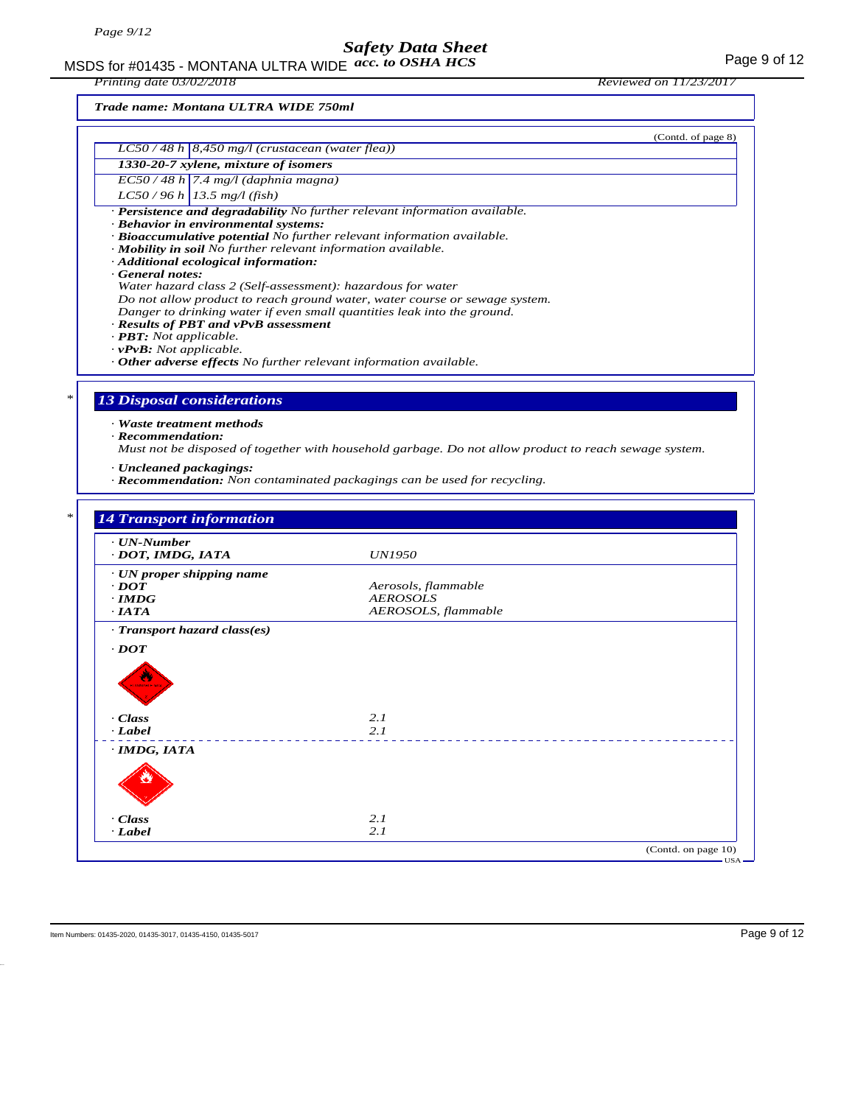MSDS for #01435 - MONTANA ULTRA WIDE  $acc. to OSHA HCS$ *acc. to OSHA HCS*

*Printing date 03/02/2018 Reviewed on 11/23/2017*

*Trade name: Montana ULTRA WIDE 750ml*

|                                                                                          | (Contd. of page 8)                                                                                    |
|------------------------------------------------------------------------------------------|-------------------------------------------------------------------------------------------------------|
| $LC50/48 h$ 8,450 mg/l (crustacean (water flea))<br>1330-20-7 xylene, mixture of isomers |                                                                                                       |
| $EC$ 50 / 48 h 7.4 mg/l (daphnia magna)                                                  |                                                                                                       |
| $LC50/96 h$ 13.5 mg/l (fish)                                                             |                                                                                                       |
|                                                                                          | · Persistence and degradability No further relevant information available.                            |
| · Behavior in environmental systems:                                                     |                                                                                                       |
| · Mobility in soil No further relevant information available.                            | · Bioaccumulative potential No further relevant information available.                                |
| · Additional ecological information:                                                     |                                                                                                       |
| General notes:                                                                           |                                                                                                       |
| Water hazard class 2 (Self-assessment): hazardous for water                              | Do not allow product to reach ground water, water course or sewage system.                            |
|                                                                                          | Danger to drinking water if even small quantities leak into the ground.                               |
| · Results of PBT and vPvB assessment                                                     |                                                                                                       |
| $\cdot$ <b>PBT</b> : Not applicable.<br>$\cdot$ vPvB: Not applicable.                    |                                                                                                       |
| $\cdot$ Other adverse effects No further relevant information available.                 |                                                                                                       |
|                                                                                          |                                                                                                       |
| <b>13 Disposal considerations</b>                                                        |                                                                                                       |
|                                                                                          |                                                                                                       |
| · Waste treatment methods<br>$\cdot$ Recommendation:                                     |                                                                                                       |
|                                                                                          |                                                                                                       |
|                                                                                          |                                                                                                       |
|                                                                                          | Must not be disposed of together with household garbage. Do not allow product to reach sewage system. |
| · Uncleaned packagings:                                                                  | $\cdot$ <b>Recommendation:</b> Non contaminated packagings can be used for recycling.                 |
|                                                                                          |                                                                                                       |
|                                                                                          |                                                                                                       |
| <b>14 Transport information</b>                                                          |                                                                                                       |
| $\cdot$ UN-Number                                                                        |                                                                                                       |
| · DOT, IMDG, IATA                                                                        | <i>UN1950</i>                                                                                         |
| $\cdot$ UN proper shipping name                                                          |                                                                                                       |
| $\cdot$ DOT<br>$\cdot$ IMDG                                                              | Aerosols, flammable<br><b>AEROSOLS</b>                                                                |
| $\cdot$ IATA                                                                             | AEROSOLS, flammable                                                                                   |
| · Transport hazard class(es)                                                             |                                                                                                       |
| $\cdot$ <i>DOT</i>                                                                       |                                                                                                       |
|                                                                                          |                                                                                                       |
|                                                                                          |                                                                                                       |
|                                                                                          |                                                                                                       |
|                                                                                          |                                                                                                       |
| · Class<br>· Label                                                                       | 2.1<br>2.1                                                                                            |
|                                                                                          |                                                                                                       |
| · IMDG, IATA                                                                             |                                                                                                       |
|                                                                                          |                                                                                                       |
|                                                                                          |                                                                                                       |
| · Class                                                                                  | 2.1                                                                                                   |

(Contd. on page 10)

USA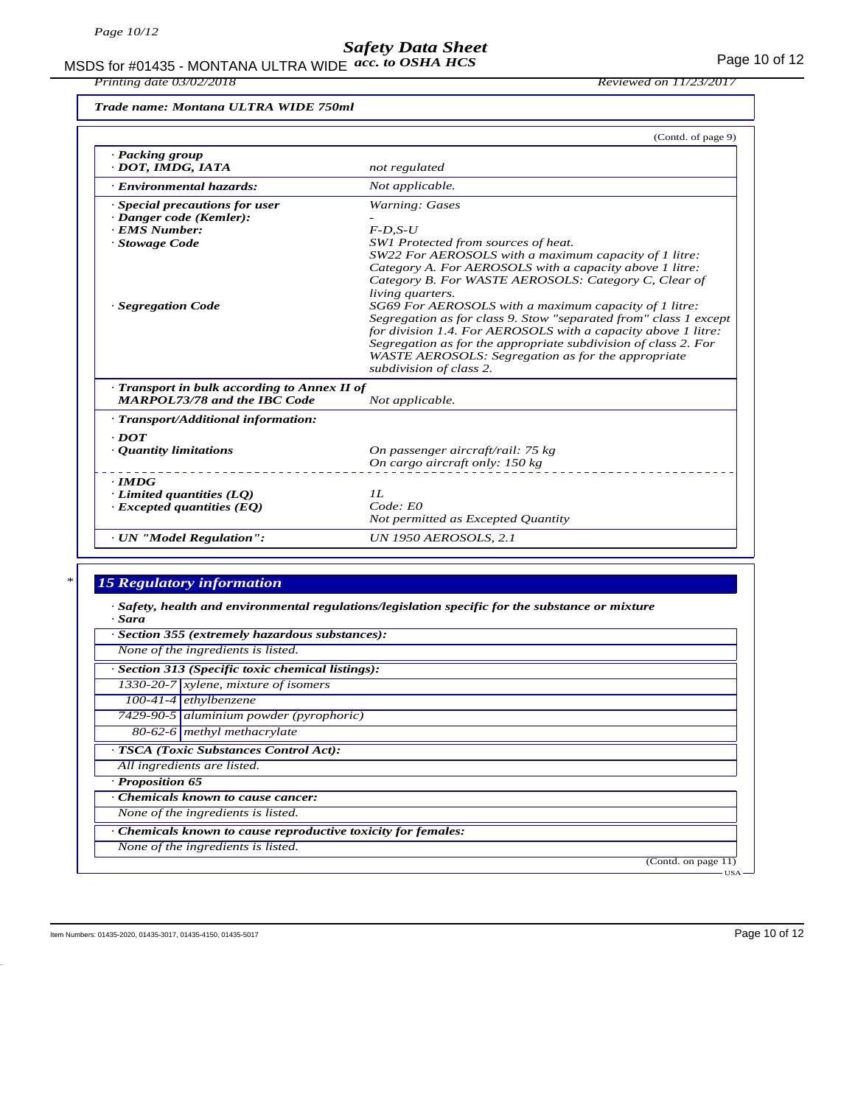MSDS for #01435 - MONTANA ULTRA WIDE  $acc.$  to OSHA HCS Formulation of 12 *acc. to OSHA HCS*

*Printing date 03/02/2018 Reviewed on 11/23/2017*

*Trade name: Montana ULTRA WIDE 750ml*

|                                                                                   | (Contd. of page 9)                                                                                                                                                                                                                                                                                                                                                                                                                                                                                                                                   |
|-----------------------------------------------------------------------------------|------------------------------------------------------------------------------------------------------------------------------------------------------------------------------------------------------------------------------------------------------------------------------------------------------------------------------------------------------------------------------------------------------------------------------------------------------------------------------------------------------------------------------------------------------|
| · Packing group<br>· DOT, IMDG, IATA                                              | not regulated                                                                                                                                                                                                                                                                                                                                                                                                                                                                                                                                        |
| · Environmental hazards:                                                          | Not applicable.                                                                                                                                                                                                                                                                                                                                                                                                                                                                                                                                      |
| · Special precautions for user                                                    | Warning: Gases                                                                                                                                                                                                                                                                                                                                                                                                                                                                                                                                       |
| · Danger code (Kemler):                                                           |                                                                                                                                                                                                                                                                                                                                                                                                                                                                                                                                                      |
| · EMS Number:                                                                     | $F$ -D,S-U                                                                                                                                                                                                                                                                                                                                                                                                                                                                                                                                           |
| · Stowage Code                                                                    | SW1 Protected from sources of heat.                                                                                                                                                                                                                                                                                                                                                                                                                                                                                                                  |
| · Segregation Code                                                                | SW22 For AEROSOLS with a maximum capacity of 1 litre:<br>Category A. For AEROSOLS with a capacity above 1 litre:<br>Category B. For WASTE AEROSOLS: Category C. Clear of<br><i>living quarters.</i><br>SG69 For AEROSOLS with a maximum capacity of 1 litre:<br>Segregation as for class 9. Stow "separated from" class 1 except<br>for division 1.4. For AEROSOLS with a capacity above 1 litre:<br>Segregation as for the appropriate subdivision of class 2. For<br>WASTE AEROSOLS: Segregation as for the appropriate<br>subdivision of class 2. |
| Transport in bulk according to Annex II of<br><b>MARPOL73/78 and the IBC Code</b> | Not applicable.                                                                                                                                                                                                                                                                                                                                                                                                                                                                                                                                      |
| · Transport/Additional information:                                               |                                                                                                                                                                                                                                                                                                                                                                                                                                                                                                                                                      |
| $\cdot$ <i>DOT</i>                                                                |                                                                                                                                                                                                                                                                                                                                                                                                                                                                                                                                                      |
| • Quantity limitations                                                            | On passenger aircraft/rail: 75 kg                                                                                                                                                                                                                                                                                                                                                                                                                                                                                                                    |
|                                                                                   | On cargo aircraft only: 150 kg                                                                                                                                                                                                                                                                                                                                                                                                                                                                                                                       |
| $\cdot$ IMDG                                                                      |                                                                                                                                                                                                                                                                                                                                                                                                                                                                                                                                                      |
| $\cdot$ Limited quantities (LQ)                                                   | II.                                                                                                                                                                                                                                                                                                                                                                                                                                                                                                                                                  |
| $\cdot$ Excepted quantities (EQ)                                                  | Code: E0                                                                                                                                                                                                                                                                                                                                                                                                                                                                                                                                             |
|                                                                                   | Not permitted as Excepted Quantity                                                                                                                                                                                                                                                                                                                                                                                                                                                                                                                   |
| · UN "Model Regulation":                                                          | <b>UN 1950 AEROSOLS, 2.1</b>                                                                                                                                                                                                                                                                                                                                                                                                                                                                                                                         |

## *\* 15 Regulatory information*

*· Safety, health and environmental regulations/legislation specific for the substance or mixture · Sara*

|                  | · Section 355 (extremely hazardous substances):               |
|------------------|---------------------------------------------------------------|
|                  | None of the ingredients is listed.                            |
|                  | · Section 313 (Specific toxic chemical listings):             |
|                  | $1330-20-7$ xylene, mixture of isomers                        |
|                  | $100-41-4$ ethylbenzene                                       |
|                  | 7429-90-5 aluminium powder (pyrophoric)                       |
|                  | 80-62-6 methyl methacrylate                                   |
|                  | · TSCA (Toxic Substances Control Act):                        |
|                  | All ingredients are listed.                                   |
| · Proposition 65 |                                                               |
|                  | Chemicals known to cause cancer:                              |
|                  | None of the ingredients is listed.                            |
|                  | · Chemicals known to cause reproductive toxicity for females: |
|                  | None of the ingredients is listed.                            |
|                  | (Contd. on page 11)                                           |
|                  | $\text{USA}$ –                                                |

Item Numbers: 01435-2020, 01435-3017, 01435-4150, 01435-5017 Page 10 of 12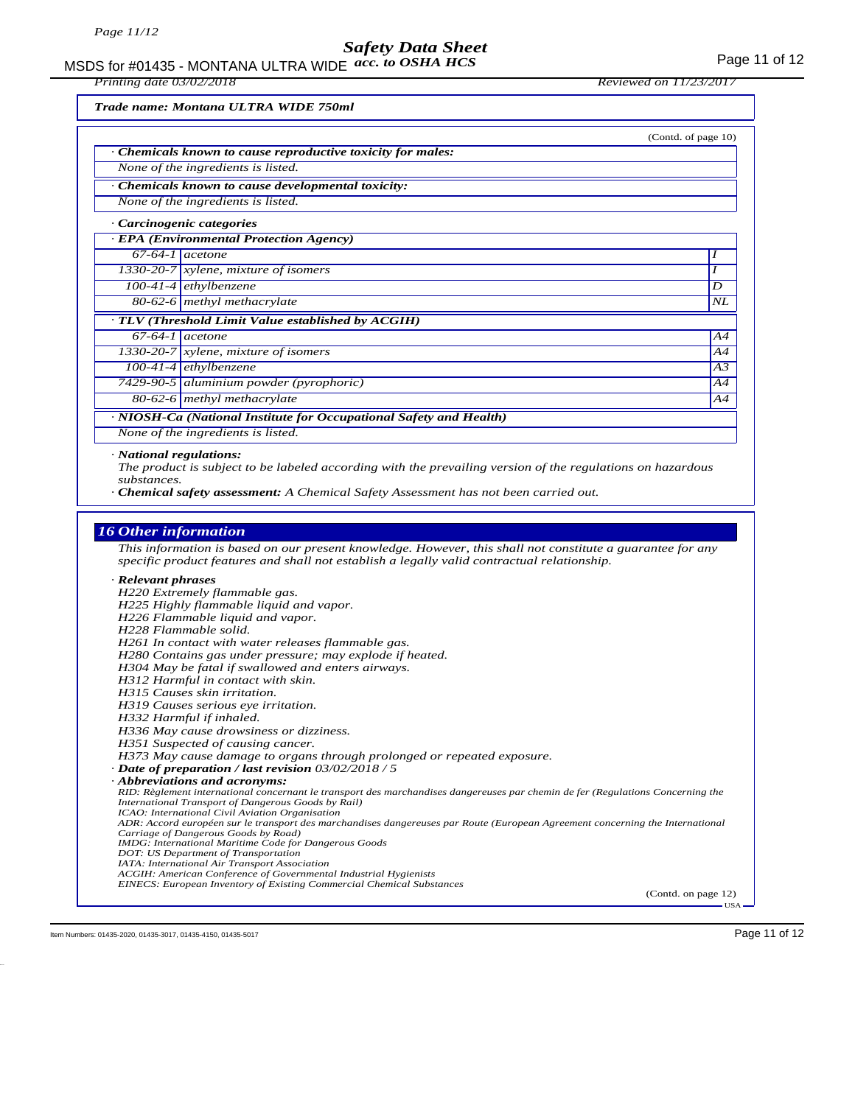MSDS for #01435 - MONTANA ULTRA WIDE acc. to OSHA HCS **And CONTA CONTA CONTROL** Page 11 of 12

*Printing date 03/02/2018 Reviewed on 11/23/2017*

*Trade name: Montana ULTRA WIDE 750ml*

|                                        |                                                                                                            | (Contd. of page 10) |
|----------------------------------------|------------------------------------------------------------------------------------------------------------|---------------------|
|                                        | Chemicals known to cause reproductive toxicity for males:                                                  |                     |
|                                        | None of the ingredients is listed.                                                                         |                     |
|                                        | Chemicals known to cause developmental toxicity:                                                           |                     |
|                                        | None of the ingredients is listed.                                                                         |                     |
|                                        | · Carcinogenic categories                                                                                  |                     |
|                                        | · EPA (Environmental Protection Agency)                                                                    |                     |
| $67-64-1$ acetone                      |                                                                                                            |                     |
|                                        | 1330-20-7 $x$ ylene, mixture of isomers                                                                    |                     |
|                                        | $100-41-4$ ethylbenzene                                                                                    | D                   |
|                                        | 80-62-6 methyl methacrylate                                                                                | NL                  |
|                                        | · TLV (Threshold Limit Value established by ACGIH)                                                         |                     |
| $67-64-1$ acetone                      |                                                                                                            | A4                  |
|                                        | 1330-20-7 $x$ ylene, mixture of isomers                                                                    | A4                  |
|                                        | $100-41-4$ ethylbenzene                                                                                    | A <sub>3</sub>      |
|                                        | 7429-90-5 aluminium powder (pyrophoric)                                                                    | A4                  |
|                                        | 80-62-6 methyl methacrylate                                                                                | A4                  |
|                                        | · NIOSH-Ca (National Institute for Occupational Safety and Health)                                         |                     |
|                                        | None of the ingredients is listed.                                                                         |                     |
| · National regulations:<br>substances. | The product is subject to be labeled according with the prevailing version of the regulations on hazardous |                     |

*· Chemical safety assessment: A Chemical Safety Assessment has not been carried out.*

#### *16 Other information*

*This information is based on our present knowledge. However, this shall not constitute a guarantee for any specific product features and shall not establish a legally valid contractual relationship. · Relevant phrases*

*H220 Extremely flammable gas.*

*H225 Highly flammable liquid and vapor.*

*H226 Flammable liquid and vapor.*

*H228 Flammable solid.*

*H261 In contact with water releases flammable gas. H280 Contains gas under pressure; may explode if heated.*

*H304 May be fatal if swallowed and enters airways.*

*H312 Harmful in contact with skin.*

*H315 Causes skin irritation. H319 Causes serious eye irritation.*

*H332 Harmful if inhaled.*

*H336 May cause drowsiness or dizziness.*

*H351 Suspected of causing cancer.*

*H373 May cause damage to organs through prolonged or repeated exposure.*

*· Date of preparation / last revision 03/02/2018 / 5*

*· Abbreviations and acronyms:*

*RID: Règlement international concernant le transport des marchandises dangereuses par chemin de fer (Regulations Concerning the International Transport of Dangerous Goods by Rail) ICAO: International Civil Aviation Organisation ADR: Accord européen sur le transport des marchandises dangereuses par Route (European Agreement concerning the International Carriage of Dangerous Goods by Road) IMDG: International Maritime Code for Dangerous Goods DOT: US Department of Transportation*

*IATA: International Air Transport Association*

*ACGIH: American Conference of Governmental Industrial Hygienists*

*EINECS: European Inventory of Existing Commercial Chemical Substances*

(Contd. on page 12) USA

Item Numbers: 01435-2020, 01435-3017, 01435-4150, 01435-5017 Page 11 of 12